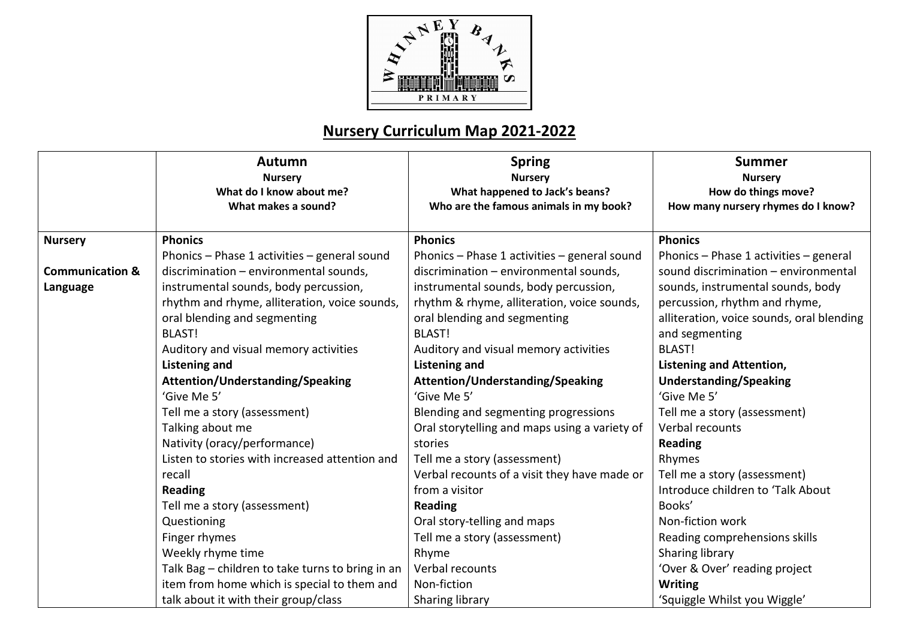

|                            | <b>Autumn</b><br><b>Nursery</b><br>What do I know about me?<br>What makes a sound? | <b>Spring</b><br><b>Nursery</b><br>What happened to Jack's beans?<br>Who are the famous animals in my book? | <b>Summer</b><br><b>Nursery</b><br>How do things move?<br>How many nursery rhymes do I know? |
|----------------------------|------------------------------------------------------------------------------------|-------------------------------------------------------------------------------------------------------------|----------------------------------------------------------------------------------------------|
| <b>Nursery</b>             | <b>Phonics</b>                                                                     | <b>Phonics</b>                                                                                              | <b>Phonics</b>                                                                               |
|                            | Phonics - Phase 1 activities - general sound                                       | Phonics - Phase 1 activities - general sound                                                                | Phonics - Phase 1 activities - general                                                       |
| <b>Communication &amp;</b> | discrimination - environmental sounds,                                             | discrimination - environmental sounds,                                                                      | sound discrimination - environmental                                                         |
| Language                   | instrumental sounds, body percussion,                                              | instrumental sounds, body percussion,                                                                       | sounds, instrumental sounds, body                                                            |
|                            | rhythm and rhyme, alliteration, voice sounds,                                      | rhythm & rhyme, alliteration, voice sounds,                                                                 | percussion, rhythm and rhyme,                                                                |
|                            | oral blending and segmenting                                                       | oral blending and segmenting                                                                                | alliteration, voice sounds, oral blending                                                    |
|                            | <b>BLAST!</b>                                                                      | <b>BLAST!</b>                                                                                               | and segmenting                                                                               |
|                            | Auditory and visual memory activities                                              | Auditory and visual memory activities                                                                       | <b>BLAST!</b>                                                                                |
|                            | <b>Listening and</b>                                                               | <b>Listening and</b>                                                                                        | <b>Listening and Attention,</b>                                                              |
|                            | <b>Attention/Understanding/Speaking</b>                                            | <b>Attention/Understanding/Speaking</b>                                                                     | <b>Understanding/Speaking</b>                                                                |
|                            | 'Give Me 5'                                                                        | 'Give Me 5'                                                                                                 | 'Give Me 5'                                                                                  |
|                            | Tell me a story (assessment)                                                       | Blending and segmenting progressions                                                                        | Tell me a story (assessment)                                                                 |
|                            | Talking about me                                                                   | Oral storytelling and maps using a variety of                                                               | Verbal recounts                                                                              |
|                            | Nativity (oracy/performance)                                                       | stories                                                                                                     | <b>Reading</b>                                                                               |
|                            | Listen to stories with increased attention and                                     | Tell me a story (assessment)                                                                                | Rhymes                                                                                       |
|                            | recall                                                                             | Verbal recounts of a visit they have made or                                                                | Tell me a story (assessment)                                                                 |
|                            | <b>Reading</b>                                                                     | from a visitor                                                                                              | Introduce children to 'Talk About                                                            |
|                            | Tell me a story (assessment)                                                       | <b>Reading</b>                                                                                              | Books'                                                                                       |
|                            | Questioning                                                                        | Oral story-telling and maps                                                                                 | Non-fiction work                                                                             |
|                            | Finger rhymes                                                                      | Tell me a story (assessment)                                                                                | Reading comprehensions skills                                                                |
|                            | Weekly rhyme time                                                                  | Rhyme                                                                                                       | Sharing library                                                                              |
|                            | Talk Bag - children to take turns to bring in an                                   | Verbal recounts                                                                                             | 'Over & Over' reading project                                                                |
|                            | item from home which is special to them and                                        | Non-fiction                                                                                                 | <b>Writing</b>                                                                               |
|                            | talk about it with their group/class                                               | Sharing library                                                                                             | 'Squiggle Whilst you Wiggle'                                                                 |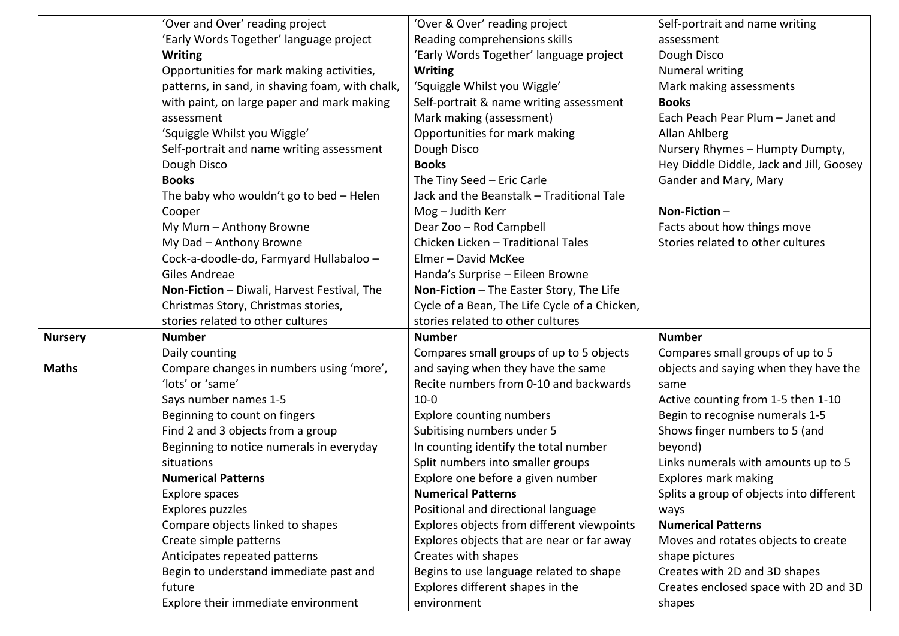|                | 'Over and Over' reading project                 | 'Over & Over' reading project                 | Self-portrait and name writing           |
|----------------|-------------------------------------------------|-----------------------------------------------|------------------------------------------|
|                | 'Early Words Together' language project         | Reading comprehensions skills                 | assessment                               |
|                | <b>Writing</b>                                  | 'Early Words Together' language project       | Dough Disco                              |
|                | Opportunities for mark making activities,       | <b>Writing</b>                                | Numeral writing                          |
|                | patterns, in sand, in shaving foam, with chalk, | 'Squiggle Whilst you Wiggle'                  | Mark making assessments                  |
|                | with paint, on large paper and mark making      | Self-portrait & name writing assessment       | <b>Books</b>                             |
|                | assessment                                      | Mark making (assessment)                      | Each Peach Pear Plum - Janet and         |
|                | 'Squiggle Whilst you Wiggle'                    | Opportunities for mark making                 | Allan Ahlberg                            |
|                | Self-portrait and name writing assessment       | Dough Disco                                   | Nursery Rhymes - Humpty Dumpty,          |
|                | Dough Disco                                     | <b>Books</b>                                  | Hey Diddle Diddle, Jack and Jill, Goosey |
|                | <b>Books</b>                                    | The Tiny Seed - Eric Carle                    | Gander and Mary, Mary                    |
|                | The baby who wouldn't go to bed - Helen         | Jack and the Beanstalk - Traditional Tale     |                                          |
|                | Cooper                                          | Mog - Judith Kerr                             | Non-Fiction-                             |
|                | My Mum - Anthony Browne                         | Dear Zoo - Rod Campbell                       | Facts about how things move              |
|                | My Dad - Anthony Browne                         | Chicken Licken - Traditional Tales            | Stories related to other cultures        |
|                | Cock-a-doodle-do, Farmyard Hullabaloo -         | Elmer - David McKee                           |                                          |
|                | Giles Andreae                                   | Handa's Surprise - Eileen Browne              |                                          |
|                | Non-Fiction - Diwali, Harvest Festival, The     | Non-Fiction - The Easter Story, The Life      |                                          |
|                | Christmas Story, Christmas stories,             | Cycle of a Bean, The Life Cycle of a Chicken, |                                          |
|                | stories related to other cultures               | stories related to other cultures             |                                          |
| <b>Nursery</b> | <b>Number</b>                                   | <b>Number</b>                                 | <b>Number</b>                            |
|                | Daily counting                                  | Compares small groups of up to 5 objects      | Compares small groups of up to 5         |
| <b>Maths</b>   | Compare changes in numbers using 'more',        | and saying when they have the same            | objects and saying when they have the    |
|                | 'lots' or 'same'                                | Recite numbers from 0-10 and backwards        | same                                     |
|                | Says number names 1-5                           | $10 - 0$                                      | Active counting from 1-5 then 1-10       |
|                | Beginning to count on fingers                   | <b>Explore counting numbers</b>               | Begin to recognise numerals 1-5          |
|                | Find 2 and 3 objects from a group               | Subitising numbers under 5                    | Shows finger numbers to 5 (and           |
|                | Beginning to notice numerals in everyday        | In counting identify the total number         | beyond)                                  |
|                | situations                                      | Split numbers into smaller groups             | Links numerals with amounts up to 5      |
|                | <b>Numerical Patterns</b>                       | Explore one before a given number             | Explores mark making                     |
|                | Explore spaces                                  | <b>Numerical Patterns</b>                     | Splits a group of objects into different |
|                | Explores puzzles                                | Positional and directional language           | ways                                     |
|                | Compare objects linked to shapes                | Explores objects from different viewpoints    | <b>Numerical Patterns</b>                |
|                | Create simple patterns                          | Explores objects that are near or far away    | Moves and rotates objects to create      |
|                | Anticipates repeated patterns                   | Creates with shapes                           | shape pictures                           |
|                | Begin to understand immediate past and          | Begins to use language related to shape       | Creates with 2D and 3D shapes            |
|                | future                                          | Explores different shapes in the              | Creates enclosed space with 2D and 3D    |
|                | Explore their immediate environment             | environment                                   | shapes                                   |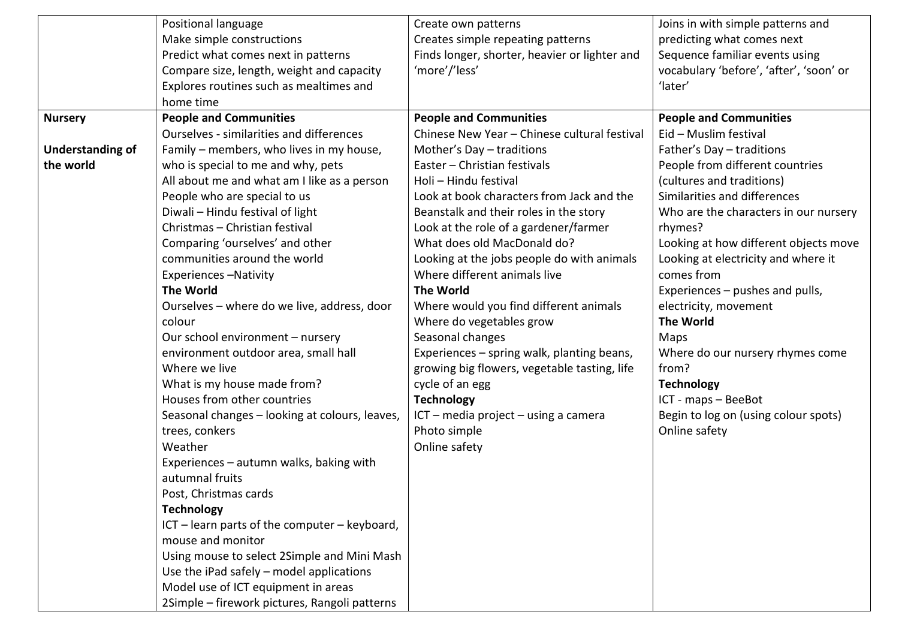|                         | Positional language                            | Create own patterns                           | Joins in with simple patterns and       |
|-------------------------|------------------------------------------------|-----------------------------------------------|-----------------------------------------|
|                         | Make simple constructions                      | Creates simple repeating patterns             | predicting what comes next              |
|                         | Predict what comes next in patterns            | Finds longer, shorter, heavier or lighter and | Sequence familiar events using          |
|                         | Compare size, length, weight and capacity      | 'more'/'less'                                 | vocabulary 'before', 'after', 'soon' or |
|                         | Explores routines such as mealtimes and        |                                               | 'later'                                 |
|                         | home time                                      |                                               |                                         |
| <b>Nursery</b>          | <b>People and Communities</b>                  | <b>People and Communities</b>                 | <b>People and Communities</b>           |
|                         | Ourselves - similarities and differences       | Chinese New Year - Chinese cultural festival  | Eid - Muslim festival                   |
| <b>Understanding of</b> | Family – members, who lives in my house,       | Mother's Day - traditions                     | Father's Day - traditions               |
| the world               | who is special to me and why, pets             | Easter - Christian festivals                  | People from different countries         |
|                         | All about me and what am I like as a person    | Holi - Hindu festival                         | (cultures and traditions)               |
|                         | People who are special to us                   | Look at book characters from Jack and the     | Similarities and differences            |
|                         | Diwali - Hindu festival of light               | Beanstalk and their roles in the story        | Who are the characters in our nursery   |
|                         | Christmas - Christian festival                 | Look at the role of a gardener/farmer         | rhymes?                                 |
|                         | Comparing 'ourselves' and other                | What does old MacDonald do?                   | Looking at how different objects move   |
|                         | communities around the world                   | Looking at the jobs people do with animals    | Looking at electricity and where it     |
|                         | <b>Experiences-Nativity</b>                    | Where different animals live                  | comes from                              |
|                         | <b>The World</b>                               | <b>The World</b>                              | Experiences – pushes and pulls,         |
|                         | Ourselves - where do we live, address, door    | Where would you find different animals        | electricity, movement                   |
|                         | colour                                         | Where do vegetables grow                      | <b>The World</b>                        |
|                         | Our school environment - nursery               | Seasonal changes                              | Maps                                    |
|                         | environment outdoor area, small hall           | Experiences - spring walk, planting beans,    | Where do our nursery rhymes come        |
|                         | Where we live                                  | growing big flowers, vegetable tasting, life  | from?                                   |
|                         | What is my house made from?                    | cycle of an egg                               | <b>Technology</b>                       |
|                         | Houses from other countries                    | <b>Technology</b>                             | ICT - maps - BeeBot                     |
|                         | Seasonal changes - looking at colours, leaves, | ICT - media project - using a camera          | Begin to log on (using colour spots)    |
|                         | trees, conkers                                 | Photo simple                                  | Online safety                           |
|                         | Weather                                        | Online safety                                 |                                         |
|                         | Experiences - autumn walks, baking with        |                                               |                                         |
|                         | autumnal fruits                                |                                               |                                         |
|                         | Post, Christmas cards                          |                                               |                                         |
|                         | <b>Technology</b>                              |                                               |                                         |
|                         | ICT - learn parts of the computer - keyboard,  |                                               |                                         |
|                         | mouse and monitor                              |                                               |                                         |
|                         | Using mouse to select 2Simple and Mini Mash    |                                               |                                         |
|                         | Use the iPad safely $-$ model applications     |                                               |                                         |
|                         | Model use of ICT equipment in areas            |                                               |                                         |
|                         | 2Simple – firework pictures, Rangoli patterns  |                                               |                                         |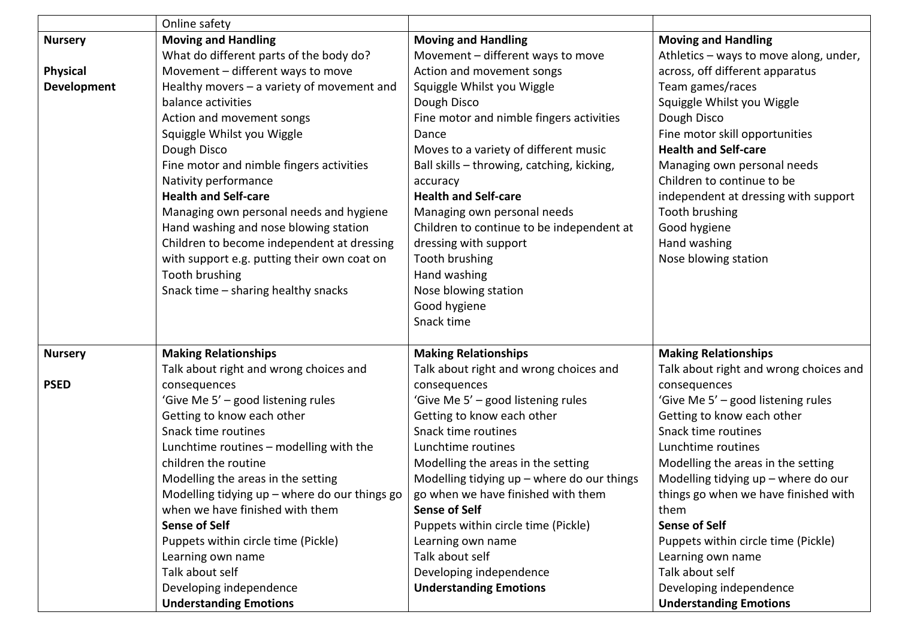|                 | Online safety                                 |                                              |                                        |
|-----------------|-----------------------------------------------|----------------------------------------------|----------------------------------------|
| <b>Nursery</b>  | <b>Moving and Handling</b>                    | <b>Moving and Handling</b>                   | <b>Moving and Handling</b>             |
|                 | What do different parts of the body do?       | Movement - different ways to move            | Athletics - ways to move along, under, |
| <b>Physical</b> | Movement - different ways to move             | Action and movement songs                    | across, off different apparatus        |
| Development     | Healthy movers $-$ a variety of movement and  | Squiggle Whilst you Wiggle                   | Team games/races                       |
|                 | balance activities                            | Dough Disco                                  | Squiggle Whilst you Wiggle             |
|                 | Action and movement songs                     | Fine motor and nimble fingers activities     | Dough Disco                            |
|                 | Squiggle Whilst you Wiggle                    | Dance                                        | Fine motor skill opportunities         |
|                 | Dough Disco                                   | Moves to a variety of different music        | <b>Health and Self-care</b>            |
|                 | Fine motor and nimble fingers activities      | Ball skills - throwing, catching, kicking,   | Managing own personal needs            |
|                 | Nativity performance                          | accuracy                                     | Children to continue to be             |
|                 | <b>Health and Self-care</b>                   | <b>Health and Self-care</b>                  | independent at dressing with support   |
|                 | Managing own personal needs and hygiene       | Managing own personal needs                  | Tooth brushing                         |
|                 | Hand washing and nose blowing station         | Children to continue to be independent at    | Good hygiene                           |
|                 | Children to become independent at dressing    | dressing with support                        | Hand washing                           |
|                 | with support e.g. putting their own coat on   | Tooth brushing                               | Nose blowing station                   |
|                 | Tooth brushing                                | Hand washing                                 |                                        |
|                 | Snack time - sharing healthy snacks           | Nose blowing station                         |                                        |
|                 |                                               | Good hygiene                                 |                                        |
|                 |                                               | Snack time                                   |                                        |
| <b>Nursery</b>  | <b>Making Relationships</b>                   | <b>Making Relationships</b>                  | <b>Making Relationships</b>            |
|                 | Talk about right and wrong choices and        | Talk about right and wrong choices and       | Talk about right and wrong choices and |
| <b>PSED</b>     | consequences                                  | consequences                                 | consequences                           |
|                 | 'Give Me 5' - good listening rules            | 'Give Me 5' - good listening rules           | 'Give Me 5' - good listening rules     |
|                 | Getting to know each other                    | Getting to know each other                   | Getting to know each other             |
|                 | Snack time routines                           | Snack time routines                          | Snack time routines                    |
|                 | Lunchtime routines - modelling with the       | Lunchtime routines                           | Lunchtime routines                     |
|                 | children the routine                          | Modelling the areas in the setting           | Modelling the areas in the setting     |
|                 | Modelling the areas in the setting            | Modelling tidying $up$ – where do our things | Modelling tidying $up$ – where do our  |
|                 | Modelling tidying up - where do our things go | go when we have finished with them           | things go when we have finished with   |
|                 | when we have finished with them               | <b>Sense of Self</b>                         | them                                   |
|                 | <b>Sense of Self</b>                          | Puppets within circle time (Pickle)          | <b>Sense of Self</b>                   |
|                 | Puppets within circle time (Pickle)           | Learning own name                            | Puppets within circle time (Pickle)    |
|                 | Learning own name                             | Talk about self                              | Learning own name                      |
|                 | Talk about self                               | Developing independence                      | Talk about self                        |
|                 | Developing independence                       | <b>Understanding Emotions</b>                | Developing independence                |
|                 | <b>Understanding Emotions</b>                 |                                              | <b>Understanding Emotions</b>          |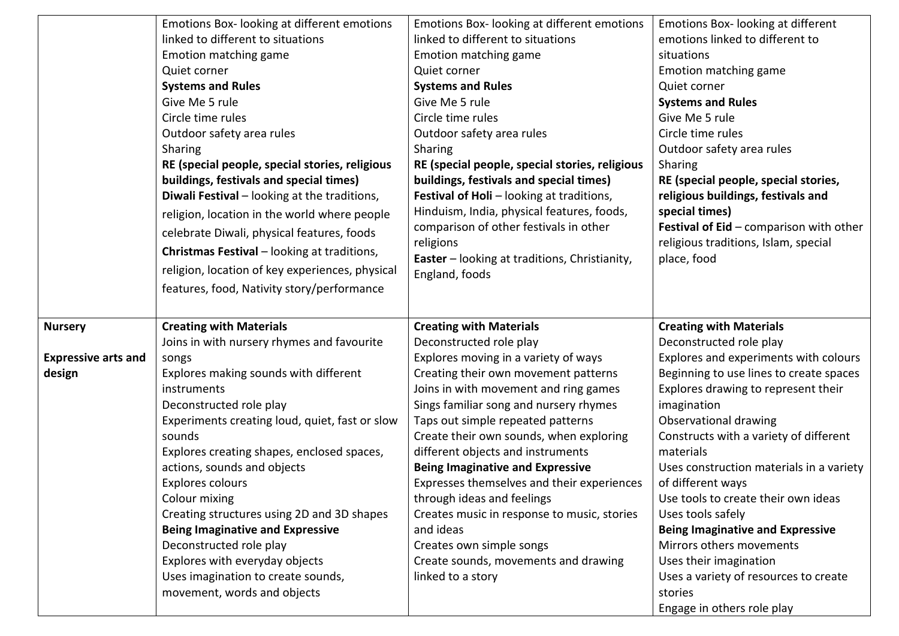|                            | Emotions Box- looking at different emotions        | Emotions Box- looking at different emotions                       | Emotions Box-looking at different                   |
|----------------------------|----------------------------------------------------|-------------------------------------------------------------------|-----------------------------------------------------|
|                            | linked to different to situations                  | linked to different to situations                                 | emotions linked to different to                     |
|                            | Emotion matching game                              | Emotion matching game                                             | situations                                          |
|                            | Quiet corner                                       | Quiet corner                                                      | Emotion matching game                               |
|                            | <b>Systems and Rules</b>                           | <b>Systems and Rules</b>                                          | Quiet corner                                        |
|                            | Give Me 5 rule                                     | Give Me 5 rule                                                    | <b>Systems and Rules</b>                            |
|                            | Circle time rules                                  | Circle time rules                                                 | Give Me 5 rule                                      |
|                            | Outdoor safety area rules                          | Outdoor safety area rules                                         | Circle time rules                                   |
|                            | Sharing                                            | Sharing                                                           | Outdoor safety area rules                           |
|                            | RE (special people, special stories, religious     | RE (special people, special stories, religious                    | Sharing                                             |
|                            | buildings, festivals and special times)            | buildings, festivals and special times)                           | RE (special people, special stories,                |
|                            | Diwali Festival - looking at the traditions,       | Festival of Holi - looking at traditions,                         | religious buildings, festivals and                  |
|                            | religion, location in the world where people       | Hinduism, India, physical features, foods,                        | special times)                                      |
|                            | celebrate Diwali, physical features, foods         | comparison of other festivals in other                            | Festival of Eid - comparison with other             |
|                            | <b>Christmas Festival</b> – looking at traditions, | religions<br><b>Easter</b> – looking at traditions, Christianity, | religious traditions, Islam, special<br>place, food |
|                            | religion, location of key experiences, physical    | England, foods                                                    |                                                     |
|                            | features, food, Nativity story/performance         |                                                                   |                                                     |
|                            |                                                    |                                                                   |                                                     |
| <b>Nursery</b>             | <b>Creating with Materials</b>                     | <b>Creating with Materials</b>                                    |                                                     |
|                            |                                                    |                                                                   | <b>Creating with Materials</b>                      |
|                            | Joins in with nursery rhymes and favourite         | Deconstructed role play                                           | Deconstructed role play                             |
| <b>Expressive arts and</b> | songs                                              | Explores moving in a variety of ways                              | Explores and experiments with colours               |
| design                     | Explores making sounds with different              | Creating their own movement patterns                              | Beginning to use lines to create spaces             |
|                            | instruments                                        | Joins in with movement and ring games                             | Explores drawing to represent their                 |
|                            | Deconstructed role play                            | Sings familiar song and nursery rhymes                            | imagination                                         |
|                            | Experiments creating loud, quiet, fast or slow     | Taps out simple repeated patterns                                 | Observational drawing                               |
|                            | sounds                                             | Create their own sounds, when exploring                           | Constructs with a variety of different              |
|                            | Explores creating shapes, enclosed spaces,         | different objects and instruments                                 | materials                                           |
|                            | actions, sounds and objects                        | <b>Being Imaginative and Expressive</b>                           | Uses construction materials in a variety            |
|                            | Explores colours                                   | Expresses themselves and their experiences                        | of different ways                                   |
|                            | Colour mixing                                      | through ideas and feelings                                        | Use tools to create their own ideas                 |
|                            | Creating structures using 2D and 3D shapes         | Creates music in response to music, stories                       | Uses tools safely                                   |
|                            | <b>Being Imaginative and Expressive</b>            | and ideas                                                         | <b>Being Imaginative and Expressive</b>             |
|                            | Deconstructed role play                            | Creates own simple songs                                          | Mirrors others movements                            |
|                            | Explores with everyday objects                     | Create sounds, movements and drawing                              | Uses their imagination                              |
|                            | Uses imagination to create sounds,                 | linked to a story                                                 | Uses a variety of resources to create               |
|                            | movement, words and objects                        |                                                                   | stories                                             |